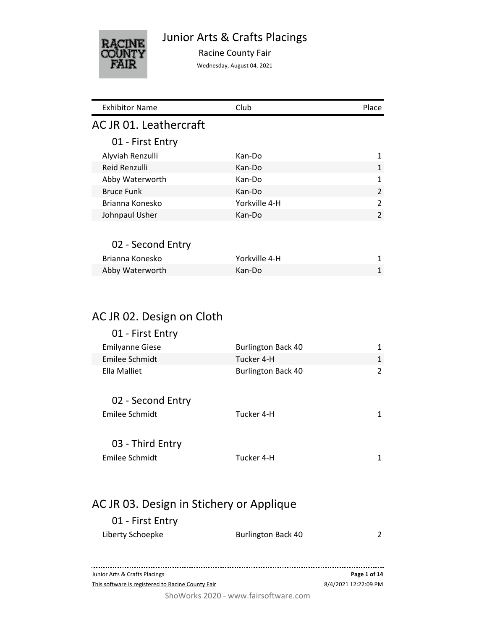

Junior Arts & Crafts Placings

Racine County Fair

Wednesday, August 04, 2021

| <b>Exhibitor Name</b>  | Club          | Place |
|------------------------|---------------|-------|
| AC JR 01. Leathercraft |               |       |
| 01 - First Entry       |               |       |
| Alyviah Renzulli       | Kan-Do        | 1     |
| Reid Renzulli          | Kan-Do        | 1     |
| Abby Waterworth        | Kan-Do        | 1     |
| <b>Bruce Funk</b>      | Kan-Do        | 2     |
| Brianna Konesko        | Yorkville 4-H | 2     |
| Johnpaul Usher         | Kan-Do        | 2     |
|                        |               |       |
| 02 - Second Entry      |               |       |
| Brianna Konesko        | Yorkville 4-H | 1     |
| Abby Waterworth        | Kan-Do        | 1     |
|                        |               |       |
|                        |               |       |
|                        |               |       |

#### AC JR 02. Design on Cloth

| 01 - First Entry                         |                           |              |  |
|------------------------------------------|---------------------------|--------------|--|
| <b>Emilyanne Giese</b>                   | <b>Burlington Back 40</b> | 1            |  |
| Emilee Schmidt                           | Tucker 4-H                | 1            |  |
| Ella Malliet                             | <b>Burlington Back 40</b> | 2            |  |
| 02 - Second Entry                        |                           |              |  |
| Emilee Schmidt                           | Tucker 4-H                | 1            |  |
| 03 - Third Entry                         |                           |              |  |
| Emilee Schmidt                           | Tucker 4-H                | $\mathbf{1}$ |  |
|                                          |                           |              |  |
| AC JR 03. Design in Stichery or Applique |                           |              |  |

## 01 - First Entry

| Liberty Schoepke | <b>Burlington Back 40</b> |  |
|------------------|---------------------------|--|
|                  |                           |  |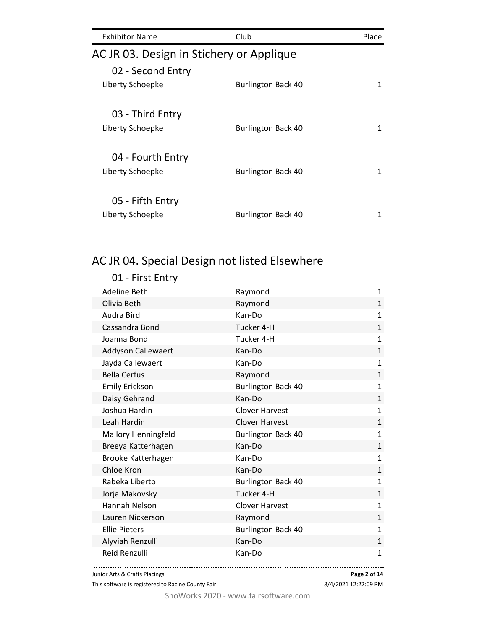| <b>Exhibitor Name</b>                    | Club                      | Place |
|------------------------------------------|---------------------------|-------|
| AC JR 03. Design in Stichery or Applique |                           |       |
| 02 - Second Entry                        |                           |       |
| Liberty Schoepke                         | <b>Burlington Back 40</b> | 1     |
|                                          |                           |       |
| 03 - Third Entry                         |                           |       |
| Liberty Schoepke                         | <b>Burlington Back 40</b> | 1     |
|                                          |                           |       |
| 04 - Fourth Entry                        |                           |       |
| Liberty Schoepke                         | <b>Burlington Back 40</b> | 1     |
|                                          |                           |       |
| 05 - Fifth Entry                         |                           |       |
| Liberty Schoepke                         | <b>Burlington Back 40</b> |       |

# AC JR 04. Special Design not listed Elsewhere

| 01 - First Entry           |                           |              |
|----------------------------|---------------------------|--------------|
| Adeline Beth               | Raymond                   | 1            |
| Olivia Beth                | Raymond                   | 1            |
| Audra Bird                 | Kan-Do                    | $\mathbf{1}$ |
| Cassandra Bond             | Tucker 4-H                | $\mathbf{1}$ |
| Joanna Bond                | Tucker 4-H                | $\mathbf{1}$ |
| <b>Addyson Callewaert</b>  | Kan-Do                    | $\mathbf{1}$ |
| Jayda Callewaert           | Kan-Do                    | $\mathbf{1}$ |
| <b>Bella Cerfus</b>        | Raymond                   | $\mathbf{1}$ |
| <b>Emily Erickson</b>      | <b>Burlington Back 40</b> | $\mathbf{1}$ |
| Daisy Gehrand              | Kan-Do                    | 1            |
| Joshua Hardin              | <b>Clover Harvest</b>     | $\mathbf{1}$ |
| Leah Hardin                | <b>Clover Harvest</b>     | 1            |
| <b>Mallory Henningfeld</b> | <b>Burlington Back 40</b> | $\mathbf{1}$ |
| Breeya Katterhagen         | Kan-Do                    | $\mathbf{1}$ |
| Brooke Katterhagen         | Kan-Do                    | $\mathbf{1}$ |
| Chloe Kron                 | Kan-Do                    | $\mathbf{1}$ |
| Rabeka Liberto             | <b>Burlington Back 40</b> | $\mathbf{1}$ |
| Jorja Makovsky             | Tucker 4-H                | $\mathbf{1}$ |
| Hannah Nelson              | <b>Clover Harvest</b>     | $\mathbf{1}$ |
| Lauren Nickerson           | Raymond                   | $\mathbf{1}$ |
| <b>Ellie Pieters</b>       | <b>Burlington Back 40</b> | $\mathbf{1}$ |
| Alyviah Renzulli           | Kan-Do                    | $\mathbf{1}$ |
| <b>Reid Renzulli</b>       | Kan-Do                    | $\mathbf{1}$ |
|                            |                           |              |

Junior Arts & Crafts Placings

This software is registered to Racine County Fair

8/4/2021 12:22:09 PM **Page 2 of 14**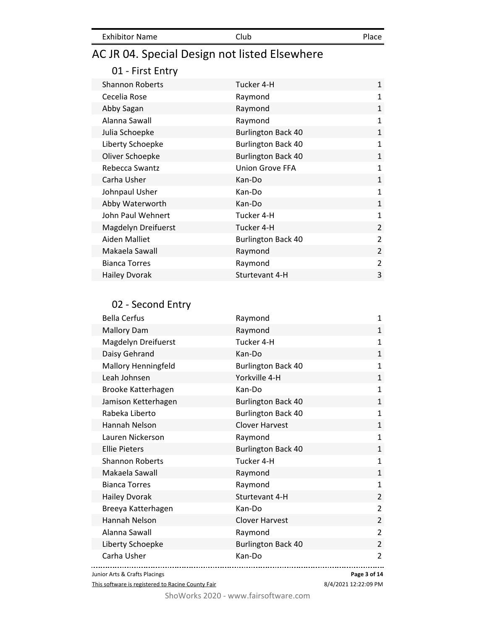| <b>Exhibitor Name</b><br>Club | Place |
|-------------------------------|-------|
|-------------------------------|-------|

# AC JR 04. Special Design not listed Elsewhere

### 01 - First Entry

| <b>Shannon Roberts</b> | Tucker 4-H                | $\mathbf{1}$   |
|------------------------|---------------------------|----------------|
| Cecelia Rose           | Raymond                   | $\mathbf{1}$   |
| Abby Sagan             | Raymond                   | $\mathbf{1}$   |
| Alanna Sawall          | Raymond                   | $\mathbf{1}$   |
| Julia Schoepke         | <b>Burlington Back 40</b> | $\mathbf{1}$   |
| Liberty Schoepke       | <b>Burlington Back 40</b> | $\mathbf{1}$   |
| Oliver Schoepke        | <b>Burlington Back 40</b> | $\mathbf{1}$   |
| Rebecca Swantz         | <b>Union Grove FFA</b>    | $\mathbf{1}$   |
| Carha Usher            | Kan-Do                    | $\mathbf{1}$   |
| Johnpaul Usher         | Kan-Do                    | 1              |
| Abby Waterworth        | Kan-Do                    | $\mathbf{1}$   |
| John Paul Wehnert      | Tucker 4-H                | 1              |
| Magdelyn Dreifuerst    | Tucker 4-H                | $\overline{2}$ |
| Aiden Malliet          | <b>Burlington Back 40</b> | 2              |
| Makaela Sawall         | Raymond                   | $\overline{2}$ |
| <b>Bianca Torres</b>   | Raymond                   | 2              |
| <b>Hailey Dvorak</b>   | Sturtevant 4-H            | 3              |

### 02 - Second Entry

| <b>Bella Cerfus</b>           | Raymond                   | 1              |
|-------------------------------|---------------------------|----------------|
| <b>Mallory Dam</b>            | Raymond                   | $\mathbf{1}$   |
| <b>Magdelyn Dreifuerst</b>    | Tucker 4-H                | $\mathbf{1}$   |
| Daisy Gehrand                 | Kan-Do                    | $\mathbf{1}$   |
| Mallory Henningfeld           | <b>Burlington Back 40</b> | $\mathbf{1}$   |
| Leah Johnsen                  | Yorkville 4-H             | $\mathbf{1}$   |
| Brooke Katterhagen            | Kan-Do                    | $\mathbf{1}$   |
| Jamison Ketterhagen           | <b>Burlington Back 40</b> | $\mathbf{1}$   |
| Rabeka Liberto                | <b>Burlington Back 40</b> | $\mathbf{1}$   |
| Hannah Nelson                 | <b>Clover Harvest</b>     | $\mathbf{1}$   |
| Lauren Nickerson              | Raymond                   | $\mathbf{1}$   |
| <b>Ellie Pieters</b>          | <b>Burlington Back 40</b> | $\mathbf{1}$   |
| <b>Shannon Roberts</b>        | Tucker 4-H                | $\mathbf{1}$   |
| Makaela Sawall                | Raymond                   | $\mathbf{1}$   |
| <b>Bianca Torres</b>          | Raymond                   | $\mathbf{1}$   |
| <b>Hailey Dvorak</b>          | Sturtevant 4-H            | $\overline{2}$ |
| Breeya Katterhagen            | Kan-Do                    | 2              |
| Hannah Nelson                 | <b>Clover Harvest</b>     | 2              |
| Alanna Sawall                 | Raymond                   | $\overline{2}$ |
| Liberty Schoepke              | <b>Burlington Back 40</b> | $\overline{2}$ |
| Carha Usher                   | Kan-Do                    | $\overline{2}$ |
| Junior Arts & Crafts Placings | Page 3 of 14              |                |

This software is registered to Racine County Fair

8/4/2021 12:22:09 PM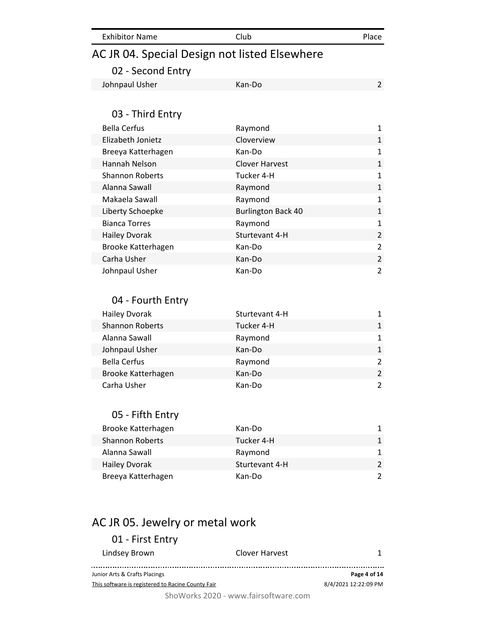| AC JR 04. Special Design not listed Elsewhere |                           |                |
|-----------------------------------------------|---------------------------|----------------|
| 02 - Second Entry                             |                           |                |
| Johnpaul Usher                                | Kan-Do                    | $\overline{2}$ |
|                                               |                           |                |
| 03 - Third Entry                              |                           |                |
| <b>Bella Cerfus</b>                           | Raymond                   | 1              |
| Elizabeth Jonietz                             | Cloverview                | $\mathbf{1}$   |
| Breeya Katterhagen                            | Kan-Do                    | $\mathbf{1}$   |
| <b>Hannah Nelson</b>                          | <b>Clover Harvest</b>     | $\mathbf{1}$   |
| <b>Shannon Roberts</b>                        | Tucker 4-H                | $\mathbf{1}$   |
| Alanna Sawall                                 | Raymond                   | $\mathbf{1}$   |
| Makaela Sawall                                | Raymond                   | $\mathbf{1}$   |
| Liberty Schoepke                              | <b>Burlington Back 40</b> | $\mathbf{1}$   |
| <b>Bianca Torres</b>                          | Raymond                   | $\mathbf{1}$   |
| <b>Hailey Dvorak</b>                          | Sturtevant 4-H            | $\overline{2}$ |
| Brooke Katterhagen                            | Kan-Do                    | $\overline{2}$ |
| Carha Usher                                   | Kan-Do                    | $\overline{2}$ |
| Johnpaul Usher                                | Kan-Do                    | $\overline{2}$ |
|                                               |                           |                |
| 04 - Fourth Entry                             |                           |                |
| <b>Hailey Dvorak</b>                          | Sturtevant 4-H            | $\mathbf{1}$   |
| <b>Shannon Roberts</b>                        | Tucker 4-H                | $\mathbf{1}$   |
| Alanna Sawall                                 | Raymond                   | $\mathbf{1}$   |
| Johnpaul Usher                                | Kan-Do                    | $\mathbf{1}$   |
| <b>Bella Cerfus</b>                           | Raymond                   | $\overline{2}$ |
| Brooke Katterhagen                            | Kan-Do                    | $\overline{2}$ |
| Carha Usher                                   | Kan-Do                    | $\overline{2}$ |
|                                               |                           |                |
| 05 - Fifth Entry                              |                           |                |
| Brooke Katterhagen                            | Kan-Do                    | 1              |
| <b>Shannon Roberts</b>                        | Tucker 4-H                | $\mathbf{1}$   |
| Alanna Sawall                                 | Raymond                   | $\mathbf{1}$   |
| <b>Hailey Dvorak</b>                          | Sturtevant 4-H            | $\overline{2}$ |
| Breeya Katterhagen                            | Kan-Do                    | $\overline{2}$ |
|                                               |                           |                |
|                                               |                           |                |
|                                               |                           |                |
|                                               |                           |                |

Exhibitor Name Club Club Place

# AC JR 05. Jewelry or metal work

| 01 - First Entry                                  |                |                      |
|---------------------------------------------------|----------------|----------------------|
| Lindsey Brown                                     | Clover Harvest |                      |
| Junior Arts & Crafts Placings                     |                | Page 4 of 14         |
| This software is registered to Racine County Fair |                | 8/4/2021 12:22:09 PM |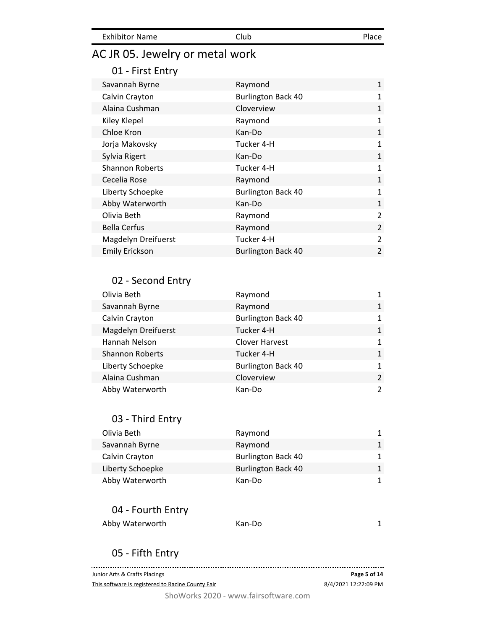| <b>Exhibitor Name</b> | Club | Place |
|-----------------------|------|-------|
|                       |      |       |

# AC JR 05. Jewelry or metal work

#### 01 - First Entry

| Savannah Byrne         | Raymond                   | $\mathbf{1}$   |
|------------------------|---------------------------|----------------|
| Calvin Crayton         | <b>Burlington Back 40</b> | 1              |
| Alaina Cushman         | Cloverview                | $\mathbf{1}$   |
| Kiley Klepel           | Raymond                   | 1              |
| Chloe Kron             | Kan-Do                    | $\mathbf{1}$   |
| Jorja Makovsky         | Tucker 4-H                | 1              |
| Sylvia Rigert          | Kan-Do                    | $\mathbf{1}$   |
| <b>Shannon Roberts</b> | Tucker 4-H                | 1              |
| Cecelia Rose           | Raymond                   | $\mathbf{1}$   |
| Liberty Schoepke       | <b>Burlington Back 40</b> | 1              |
| Abby Waterworth        | Kan-Do                    | $\mathbf{1}$   |
| Olivia Beth            | Raymond                   | 2              |
| <b>Bella Cerfus</b>    | Raymond                   | $\overline{2}$ |
| Magdelyn Dreifuerst    | Tucker 4-H                | 2              |
| <b>Emily Erickson</b>  | <b>Burlington Back 40</b> | $\overline{2}$ |

#### 02 - Second Entry

| Olivia Beth                | Raymond                   | 1              |
|----------------------------|---------------------------|----------------|
| Savannah Byrne             | Raymond                   | $\mathbf{1}$   |
| Calvin Crayton             | <b>Burlington Back 40</b> | $\mathbf{1}$   |
| <b>Magdelyn Dreifuerst</b> | Tucker 4-H                | $\mathbf{1}$   |
| Hannah Nelson              | <b>Clover Harvest</b>     | $\mathbf{1}$   |
| <b>Shannon Roberts</b>     | Tucker 4-H                | $\mathbf{1}$   |
| Liberty Schoepke           | <b>Burlington Back 40</b> | $\mathbf{1}$   |
| Alaina Cushman             | Cloverview                | $\overline{2}$ |
| Abby Waterworth            | Kan-Do                    | 2              |

### 03 - Third Entry

| Olivia Beth      | Raymond                   | 1            |
|------------------|---------------------------|--------------|
| Savannah Byrne   | Raymond                   | $\mathbf{1}$ |
| Calvin Crayton   | <b>Burlington Back 40</b> | 1            |
| Liberty Schoepke | <b>Burlington Back 40</b> | 1            |
| Abby Waterworth  | Kan-Do                    | 1            |

#### 04 - Fourth Entry

| Abby Waterworth | Kan-Do |  |
|-----------------|--------|--|
|-----------------|--------|--|

#### 05 - Fifth Entry

. . . . . . . . . . . . . . . . Junior Arts & Crafts Placings **Page 5 of 14** This software is registered to Racine County Fair 8/4/2021 12:22:09 PM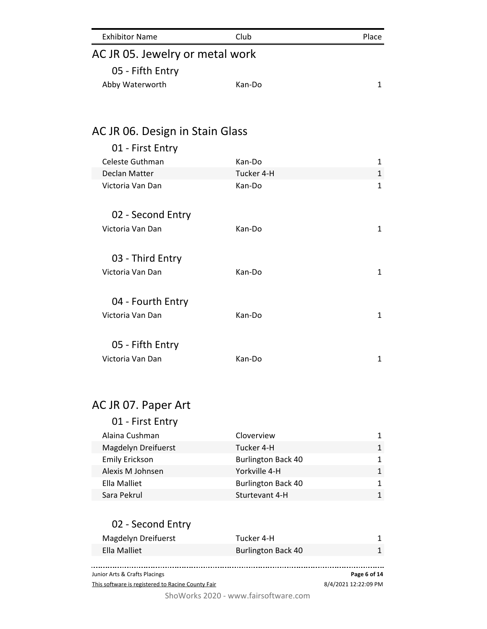| <b>Exhibitor Name</b>          | Club   | Place |
|--------------------------------|--------|-------|
| ACJR 05. Jewelry or metal work |        |       |
| 05 - Fifth Entry               |        |       |
| Abby Waterworth                | Kan-Do | 1     |
|                                |        |       |
|                                |        |       |

# AC JR 06. Design in Stain Glass

| 01 - First Entry  |            |              |
|-------------------|------------|--------------|
| Celeste Guthman   | Kan-Do     | 1            |
| Declan Matter     | Tucker 4-H | $\mathbf{1}$ |
| Victoria Van Dan  | Kan-Do     | 1            |
| 02 - Second Entry |            |              |
| Victoria Van Dan  | Kan-Do     | 1            |
| 03 - Third Entry  |            |              |
| Victoria Van Dan  | Kan-Do     | 1            |
| 04 - Fourth Entry |            |              |
| Victoria Van Dan  | Kan-Do     | $\mathbf{1}$ |
| 05 - Fifth Entry  |            |              |
|                   |            |              |
| Victoria Van Dan  | Kan-Do     | 1            |

# AC JR 07. Paper Art

| 01 - First Entry      |                           |              |
|-----------------------|---------------------------|--------------|
| Alaina Cushman        | Cloverview                |              |
| Magdelyn Dreifuerst   | Tucker 4-H                | $\mathbf{1}$ |
| <b>Emily Erickson</b> | <b>Burlington Back 40</b> |              |
| Alexis M Johnsen      | Yorkville 4-H             |              |
| Ella Malliet          | <b>Burlington Back 40</b> | 1            |
| Sara Pekrul           | Sturtevant 4-H            |              |

| 02 - Second Entry   |                           |  |
|---------------------|---------------------------|--|
| Magdelyn Dreifuerst | Tucker 4-H                |  |
| Ella Malliet        | <b>Burlington Back 40</b> |  |
|                     |                           |  |

............... ............. Junior Arts & Crafts Placings **Page 6 of 14** This software is registered to Racine County Fair 8/4/2021 12:22:09 PM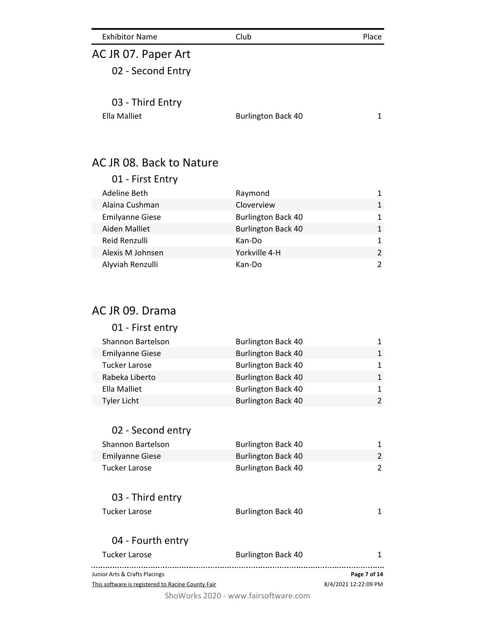| <b>Exhibitor Name</b>    | Club                      | Place          |
|--------------------------|---------------------------|----------------|
| AC JR 07. Paper Art      |                           |                |
| 02 - Second Entry        |                           |                |
| 03 - Third Entry         |                           |                |
| <b>Ella Malliet</b>      | <b>Burlington Back 40</b> | 1              |
| AC JR 08. Back to Nature |                           |                |
| 01 - First Entry         |                           |                |
| <b>Adeline Beth</b>      | Raymond                   | $\mathbf{1}$   |
| Alaina Cushman           | Cloverview                | $\mathbf{1}$   |
| <b>Emilyanne Giese</b>   | <b>Burlington Back 40</b> | 1              |
| <b>Aiden Malliet</b>     | <b>Burlington Back 40</b> | 1              |
| Reid Renzulli            | Kan-Do                    | $\mathbf{1}$   |
| Alexis M Johnsen         | Yorkville 4-H             | $\overline{2}$ |
| Alyviah Renzulli         | Kan-Do                    | $\overline{2}$ |
| AC JR 09. Drama          |                           |                |
| 01 - First entry         |                           |                |
| <b>Shannon Bartelson</b> | <b>Burlington Back 40</b> | 1              |
| <b>Emilyanne Giese</b>   | <b>Burlington Back 40</b> | $\mathbf{1}$   |
| <b>Tucker Larose</b>     | <b>Burlington Back 40</b> | $\mathbf{1}$   |
| Rabeka Liberto           | <b>Burlington Back 40</b> | 1              |
| <b>Ella Malliet</b>      | <b>Burlington Back 40</b> | 1              |
| <b>Tyler Licht</b>       | <b>Burlington Back 40</b> | $\overline{2}$ |

| 02 - Second entry                                 |                           |                      |
|---------------------------------------------------|---------------------------|----------------------|
| Shannon Bartelson                                 | <b>Burlington Back 40</b> | 1                    |
| <b>Emilyanne Giese</b>                            | <b>Burlington Back 40</b> | $\mathcal{P}$        |
| Tucker Larose                                     | <b>Burlington Back 40</b> | 2                    |
| 03 - Third entry                                  |                           |                      |
| Tucker Larose                                     | <b>Burlington Back 40</b> |                      |
| 04 - Fourth entry                                 |                           |                      |
| Tucker Larose                                     | <b>Burlington Back 40</b> | 1                    |
| Junior Arts & Crafts Placings                     |                           | Page 7 of 14         |
| This software is registered to Racine County Fair |                           | 8/4/2021 12:22:09 PM |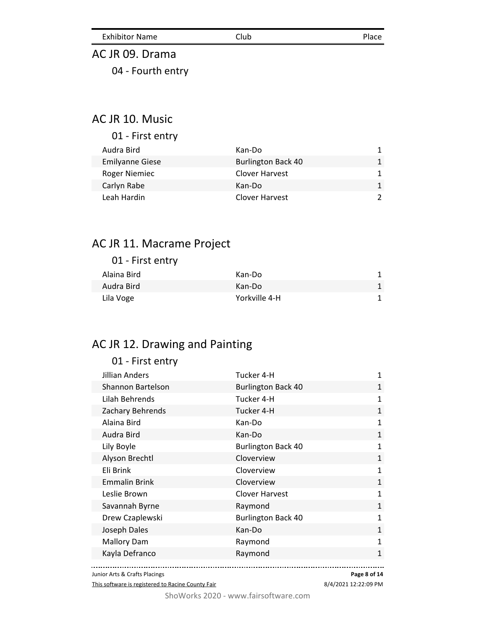Exhibitor Name Club Club Place

# AC JR 09. Drama 04 - Fourth entry

#### AC JR 10. Music

| 01 - First entry       |                           |  |
|------------------------|---------------------------|--|
| Audra Bird             | Kan-Do                    |  |
| <b>Emilyanne Giese</b> | <b>Burlington Back 40</b> |  |
| <b>Roger Niemiec</b>   | Clover Harvest            |  |
| Carlyn Rabe            | Kan-Do                    |  |
| Leah Hardin            | Clover Harvest            |  |

## AC JR 11. Macrame Project

| 01 - First entry |               |   |
|------------------|---------------|---|
| Alaina Bird      | Kan-Do        |   |
| Audra Bird       | Kan-Do        | 1 |
| Lila Voge        | Yorkville 4-H |   |
|                  |               |   |

## AC JR 12. Drawing and Painting

| 01 - First entry      |                           |              |
|-----------------------|---------------------------|--------------|
| <b>Jillian Anders</b> | Tucker 4-H                | 1            |
| Shannon Bartelson     | <b>Burlington Back 40</b> | $\mathbf{1}$ |
| Lilah Behrends        | Tucker 4-H                | 1            |
| Zachary Behrends      | Tucker 4-H                | $\mathbf{1}$ |
| Alaina Bird           | Kan-Do                    | $\mathbf{1}$ |
| Audra Bird            | Kan-Do                    | $\mathbf{1}$ |
| Lily Boyle            | <b>Burlington Back 40</b> | 1            |
| Alyson Brechtl        | Cloverview                | $\mathbf{1}$ |
| Eli Brink             | Cloverview                | $\mathbf{1}$ |
| <b>Emmalin Brink</b>  | Cloverview                | $\mathbf{1}$ |
| Leslie Brown          | <b>Clover Harvest</b>     | $\mathbf{1}$ |
| Savannah Byrne        | Raymond                   | $\mathbf{1}$ |
| Drew Czaplewski       | <b>Burlington Back 40</b> | $\mathbf{1}$ |
| Joseph Dales          | Kan-Do                    | $\mathbf{1}$ |
| <b>Mallory Dam</b>    | Raymond                   | $\mathbf{1}$ |
| Kayla Defranco        | Raymond                   | $\mathbf{1}$ |
|                       |                           |              |

Junior Arts & Crafts Placings

This software is registered to Racine County Fair

**Page 8 of 14**

8/4/2021 12:22:09 PM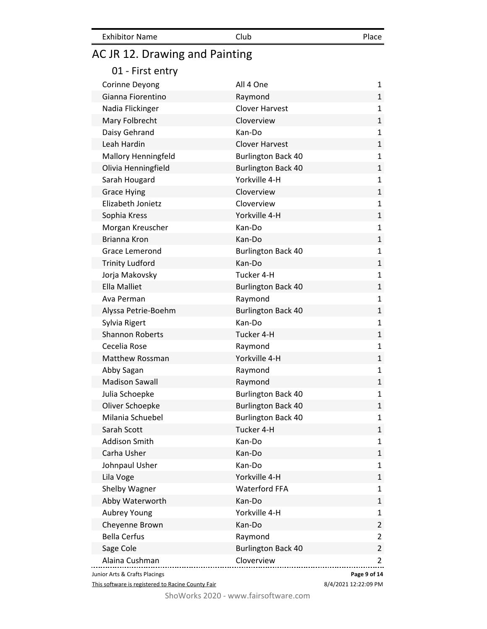| <b>Exhibitor Name</b> | Club | Place |
|-----------------------|------|-------|
|-----------------------|------|-------|

# AC JR 12. Drawing and Painting

|  |  | 01 - First entry |
|--|--|------------------|
|--|--|------------------|

| Corinne Deyong                | All 4 One                 | 1              |
|-------------------------------|---------------------------|----------------|
| Gianna Fiorentino             | Raymond                   | 1              |
| Nadia Flickinger              | <b>Clover Harvest</b>     | 1              |
| Mary Folbrecht                | Cloverview                | 1              |
| Daisy Gehrand                 | Kan-Do                    | 1              |
| Leah Hardin                   | <b>Clover Harvest</b>     | $\mathbf{1}$   |
| <b>Mallory Henningfeld</b>    | <b>Burlington Back 40</b> | 1              |
| Olivia Henningfield           | <b>Burlington Back 40</b> | 1              |
| Sarah Hougard                 | Yorkville 4-H             | 1              |
| <b>Grace Hying</b>            | Cloverview                | $\mathbf{1}$   |
| Elizabeth Jonietz             | Cloverview                | 1              |
| Sophia Kress                  | Yorkville 4-H             | 1              |
| Morgan Kreuscher              | Kan-Do                    | 1              |
| Brianna Kron                  | Kan-Do                    | $\mathbf{1}$   |
| Grace Lemerond                | <b>Burlington Back 40</b> | 1              |
| <b>Trinity Ludford</b>        | Kan-Do                    | 1              |
| Jorja Makovsky                | Tucker 4-H                | 1              |
| <b>Ella Malliet</b>           | <b>Burlington Back 40</b> | 1              |
| Ava Perman                    | Raymond                   | 1              |
| Alyssa Petrie-Boehm           | <b>Burlington Back 40</b> | $\mathbf{1}$   |
| Sylvia Rigert                 | Kan-Do                    | 1              |
| <b>Shannon Roberts</b>        | Tucker 4-H                | $\mathbf 1$    |
| Cecelia Rose                  | Raymond                   | $\mathbf 1$    |
| <b>Matthew Rossman</b>        | Yorkville 4-H             | $\mathbf{1}$   |
| Abby Sagan                    | Raymond                   | 1              |
| <b>Madison Sawall</b>         | Raymond                   | $\mathbf 1$    |
| Julia Schoepke                | <b>Burlington Back 40</b> | 1              |
| Oliver Schoepke               | <b>Burlington Back 40</b> | $\mathbf{1}$   |
| Milania Schuebel              | <b>Burlington Back 40</b> | 1              |
| Sarah Scott                   | Tucker 4-H                | $\mathbf{1}$   |
| <b>Addison Smith</b>          | Kan-Do                    | 1              |
| Carha Usher                   | Kan-Do                    | 1              |
| Johnpaul Usher                | Kan-Do                    | 1              |
| Lila Voge                     | Yorkville 4-H             | $\mathbf{1}$   |
| Shelby Wagner                 | <b>Waterford FFA</b>      | 1              |
| Abby Waterworth               | Kan-Do                    | $\mathbf 1$    |
| Aubrey Young                  | Yorkville 4-H             | $\mathbf 1$    |
| Cheyenne Brown                | Kan-Do                    | $\overline{2}$ |
| <b>Bella Cerfus</b>           | Raymond                   | 2              |
| Sage Cole                     | <b>Burlington Back 40</b> | $\overline{2}$ |
| Alaina Cushman                | Cloverview                | 2              |
| Junior Arts & Crafts Placings | Page 9 of 14              |                |

This software is registered to Racine County Fair

8/4/2021 12:22:09 PM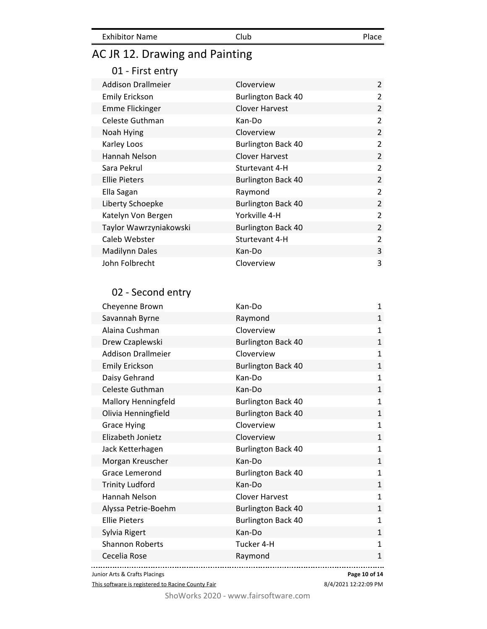Exhibitor Name Club Club Place

# AC JR 12. Drawing and Painting

#### 01 - First entry

| <b>Addison Drallmeier</b> | Cloverview                | $\mathcal{P}$  |
|---------------------------|---------------------------|----------------|
| <b>Emily Erickson</b>     | <b>Burlington Back 40</b> | $\overline{2}$ |
| <b>Emme Flickinger</b>    | <b>Clover Harvest</b>     | $\overline{2}$ |
| Celeste Guthman           | Kan-Do                    | $\overline{2}$ |
| Noah Hying                | Cloverview                | $\overline{2}$ |
| Karley Loos               | <b>Burlington Back 40</b> | $\overline{2}$ |
| Hannah Nelson             | <b>Clover Harvest</b>     | $\overline{2}$ |
| Sara Pekrul               | Sturtevant 4-H            | $\overline{2}$ |
| <b>Ellie Pieters</b>      | <b>Burlington Back 40</b> | $\overline{2}$ |
| Ella Sagan                | Raymond                   | $\overline{2}$ |
| Liberty Schoepke          | <b>Burlington Back 40</b> | $\overline{2}$ |
| Katelyn Von Bergen        | Yorkville 4-H             | $\overline{2}$ |
| Taylor Wawrzyniakowski    | <b>Burlington Back 40</b> | $\overline{2}$ |
| Caleb Webster             | Sturtevant 4-H            | $\overline{2}$ |
| <b>Madilynn Dales</b>     | Kan-Do                    | 3              |
| John Folbrecht            | Cloverview                | 3              |

## 02 - Second entry

| Cheyenne Brown            | Kan-Do                    | 1            |
|---------------------------|---------------------------|--------------|
| Savannah Byrne            | Raymond                   | $\mathbf{1}$ |
| Alaina Cushman            | Cloverview                | $\mathbf{1}$ |
| Drew Czaplewski           | <b>Burlington Back 40</b> | $\mathbf{1}$ |
| <b>Addison Drallmeier</b> | Cloverview                | $\mathbf{1}$ |
| <b>Emily Erickson</b>     | <b>Burlington Back 40</b> | $\mathbf{1}$ |
| Daisy Gehrand             | Kan-Do                    | $\mathbf{1}$ |
| Celeste Guthman           | Kan-Do                    | $\mathbf{1}$ |
| Mallory Henningfeld       | <b>Burlington Back 40</b> | $\mathbf{1}$ |
| Olivia Henningfield       | <b>Burlington Back 40</b> | $\mathbf{1}$ |
| <b>Grace Hying</b>        | Cloverview                | $\mathbf{1}$ |
| Elizabeth Jonietz         | Cloverview                | $\mathbf{1}$ |
| Jack Ketterhagen          | <b>Burlington Back 40</b> | $\mathbf{1}$ |
| Morgan Kreuscher          | Kan-Do                    | $\mathbf{1}$ |
| <b>Grace Lemerond</b>     | <b>Burlington Back 40</b> | $\mathbf{1}$ |
| <b>Trinity Ludford</b>    | Kan-Do                    | $\mathbf{1}$ |
| Hannah Nelson             | <b>Clover Harvest</b>     | $\mathbf{1}$ |
| Alyssa Petrie-Boehm       | <b>Burlington Back 40</b> | $\mathbf{1}$ |
| <b>Ellie Pieters</b>      | <b>Burlington Back 40</b> | $\mathbf{1}$ |
| Sylvia Rigert             | Kan-Do                    | $\mathbf{1}$ |
| <b>Shannon Roberts</b>    | Tucker 4-H                | $\mathbf{1}$ |
| Cecelia Rose              | Raymond                   | $\mathbf 1$  |
|                           |                           |              |

Junior Arts & Crafts Placings

This software is registered to Racine County Fair

**Page 10 of 14**

8/4/2021 12:22:09 PM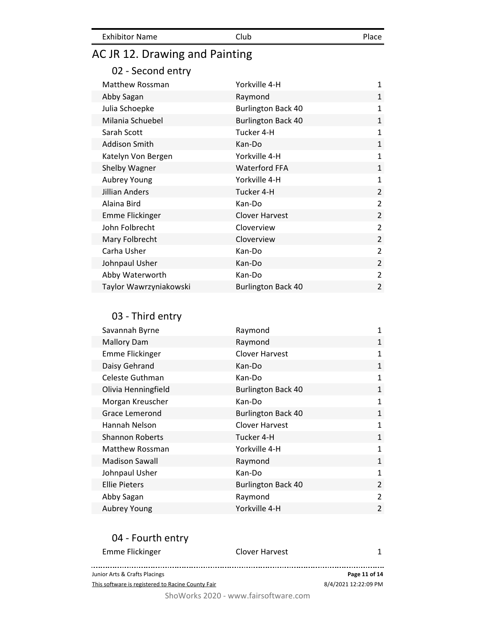| <b>Exhibitor Name</b> | Club | Place |
|-----------------------|------|-------|
|                       |      |       |

# AC JR 12. Drawing and Painting

## 02 - Second entry

| Matthew Rossman        | Yorkville 4-H             | $\mathbf{1}$   |
|------------------------|---------------------------|----------------|
| Abby Sagan             | Raymond                   | $\mathbf{1}$   |
| Julia Schoepke         | <b>Burlington Back 40</b> | $\mathbf{1}$   |
| Milania Schuebel       | <b>Burlington Back 40</b> | $\mathbf{1}$   |
| Sarah Scott            | Tucker 4-H                | $\mathbf{1}$   |
| <b>Addison Smith</b>   | Kan-Do                    | $\mathbf{1}$   |
| Katelyn Von Bergen     | Yorkville 4-H             | $\mathbf{1}$   |
| Shelby Wagner          | <b>Waterford FFA</b>      | $\mathbf{1}$   |
| Aubrey Young           | Yorkville 4-H             | $\mathbf{1}$   |
| Jillian Anders         | Tucker 4-H                | $\overline{2}$ |
| Alaina Bird            | Kan-Do                    | $\overline{2}$ |
| <b>Emme Flickinger</b> | <b>Clover Harvest</b>     | $\overline{2}$ |
| John Folbrecht         | Cloverview                | $\overline{2}$ |
| Mary Folbrecht         | Cloverview                | $\overline{2}$ |
| Carha Usher            |                           | $\overline{2}$ |
|                        | Kan-Do                    |                |
| Johnpaul Usher         | Kan-Do                    | $\overline{2}$ |
| Abby Waterworth        | Kan-Do                    | $\overline{2}$ |

### 03 - Third entry

| Savannah Byrne         | Raymond                   | 1              |
|------------------------|---------------------------|----------------|
| <b>Mallory Dam</b>     | Raymond                   | $\mathbf{1}$   |
| <b>Emme Flickinger</b> | <b>Clover Harvest</b>     | $\mathbf{1}$   |
| Daisy Gehrand          | Kan-Do                    | $\mathbf{1}$   |
| Celeste Guthman        | Kan-Do                    | $\mathbf{1}$   |
| Olivia Henningfield    | <b>Burlington Back 40</b> | 1              |
| Morgan Kreuscher       | Kan-Do                    | 1              |
| <b>Grace Lemerond</b>  | <b>Burlington Back 40</b> | $\mathbf{1}$   |
| Hannah Nelson          | <b>Clover Harvest</b>     | 1              |
| <b>Shannon Roberts</b> | Tucker 4-H                | $\mathbf{1}$   |
| Matthew Rossman        | Yorkville 4-H             | 1              |
| <b>Madison Sawall</b>  | Raymond                   | $\mathbf{1}$   |
| Johnpaul Usher         | Kan-Do                    | $\mathbf{1}$   |
| <b>Ellie Pieters</b>   | <b>Burlington Back 40</b> | $\overline{2}$ |
| Abby Sagan             | Raymond                   | 2              |
| Aubrey Young           | Yorkville 4-H             | 2              |

### 04 - Fourth entry

| Emme Flickinger                                   | Clover Harvest |                      |
|---------------------------------------------------|----------------|----------------------|
|                                                   |                |                      |
| Junior Arts & Crafts Placings                     |                | Page 11 of 14        |
| This software is registered to Racine County Fair |                | 8/4/2021 12:22:09 PM |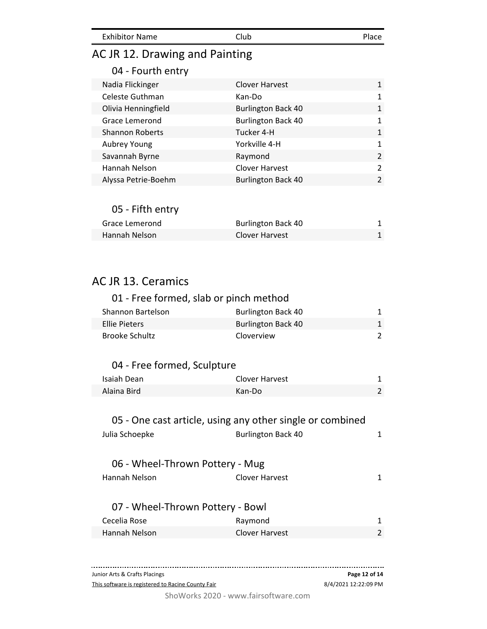| <b>Exhibitor Name</b> | Club | Place |
|-----------------------|------|-------|
|                       |      |       |

## AC JR 12. Drawing and Painting

#### 04 - Fourth entry

| Nadia Flickinger       | <b>Clover Harvest</b>     | 1             |
|------------------------|---------------------------|---------------|
| Celeste Guthman        | Kan-Do                    | $\mathbf{1}$  |
| Olivia Henningfield    | <b>Burlington Back 40</b> | $\mathbf{1}$  |
| Grace Lemerond         | <b>Burlington Back 40</b> | $\mathbf{1}$  |
| <b>Shannon Roberts</b> | Tucker 4-H                | $\mathbf{1}$  |
| Aubrey Young           | Yorkville 4-H             | $\mathbf{1}$  |
| Savannah Byrne         | Raymond                   | $\mathcal{P}$ |
| Hannah Nelson          | <b>Clover Harvest</b>     | $\mathcal{L}$ |
| Alyssa Petrie-Boehm    | <b>Burlington Back 40</b> | $\mathcal{L}$ |

#### 05 - Fifth entry

| Grace Lemerond       | <b>Burlington Back 40</b> |  |
|----------------------|---------------------------|--|
| <b>Mannah Nelson</b> | Clover Harvest            |  |

## AC JR 13. Ceramics

## 01 - Free formed, slab or pinch method Shannon Bartelson Burlington Back 40 1 Ellie Pieters **Burlington Back 40** 1 Brooke Schultz **Cloverview** 2

#### 04 - Free formed, Sculpture

| Isaiah Dean | <b>Clover Harvest</b> |  |
|-------------|-----------------------|--|
| Alaina Bird | Kan-Do                |  |

#### 05 - One cast article, using any other single or combined

| <b>OS ONE Case article, asing any other single or compiled</b> |                           |   |
|----------------------------------------------------------------|---------------------------|---|
| Julia Schoepke                                                 | <b>Burlington Back 40</b> |   |
|                                                                |                           |   |
| 06 - Wheel-Thrown Pottery - Mug                                |                           |   |
| Hannah Nelson                                                  | <b>Clover Harvest</b>     |   |
|                                                                |                           |   |
| 07 - Wheel-Thrown Pottery - Bowl                               |                           |   |
| Cecelia Rose                                                   | Raymond                   | 1 |
| Hannah Nelson                                                  | <b>Clover Harvest</b>     | 2 |

| Junior Arts & Crafts Placings                     | Page 12 of 14        |
|---------------------------------------------------|----------------------|
| This software is registered to Racine County Fair | 8/4/2021 12:22:09 PM |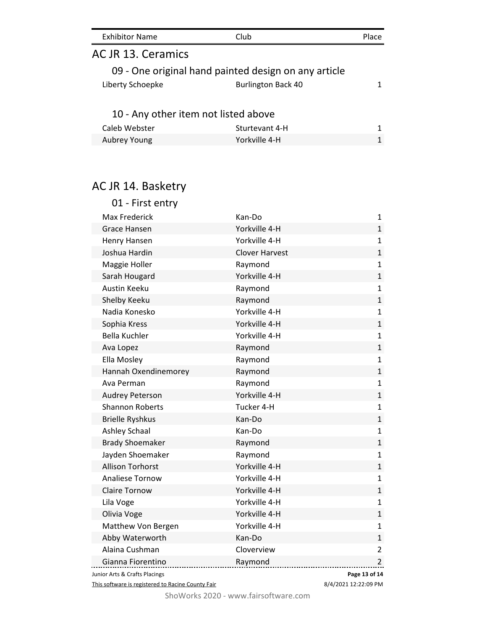| <b>Exhibitor Name</b>                                | Club                      | Place |
|------------------------------------------------------|---------------------------|-------|
| AC JR 13. Ceramics                                   |                           |       |
| 09 - One original hand painted design on any article |                           |       |
| Liberty Schoepke                                     | <b>Burlington Back 40</b> |       |
| 10 - Any other item not listed above                 |                           |       |
| Caleb Webster                                        | Sturtevant 4-H            |       |
| Aubrey Young                                         | Yorkville 4-H             |       |

# AC JR 14. Basketry

| 01 - First entry              |                       |                |
|-------------------------------|-----------------------|----------------|
| <b>Max Frederick</b>          | Kan-Do                | $\mathbf{1}$   |
| <b>Grace Hansen</b>           | Yorkville 4-H         | $\mathbf{1}$   |
| Henry Hansen                  | Yorkville 4-H         | $\mathbf{1}$   |
| Joshua Hardin                 | <b>Clover Harvest</b> | $\mathbf{1}$   |
| Maggie Holler                 | Raymond               | $\mathbf{1}$   |
| Sarah Hougard                 | Yorkville 4-H         | $\mathbf{1}$   |
| <b>Austin Keeku</b>           | Raymond               | $\mathbf{1}$   |
| Shelby Keeku                  | Raymond               | $\mathbf{1}$   |
| Nadia Konesko                 | Yorkville 4-H         | $\mathbf{1}$   |
| Sophia Kress                  | Yorkville 4-H         | $\mathbf{1}$   |
| <b>Bella Kuchler</b>          | Yorkville 4-H         | $\mathbf{1}$   |
| Ava Lopez                     | Raymond               | $\mathbf{1}$   |
| Ella Mosley                   | Raymond               | $\mathbf{1}$   |
| Hannah Oxendinemorey          | Raymond               | $\mathbf{1}$   |
| Ava Perman                    | Raymond               | $\mathbf{1}$   |
| <b>Audrey Peterson</b>        | Yorkville 4-H         | $\mathbf{1}$   |
| <b>Shannon Roberts</b>        | Tucker 4-H            | $\mathbf{1}$   |
| <b>Brielle Ryshkus</b>        | Kan-Do                | $\mathbf{1}$   |
| Ashley Schaal                 | Kan-Do                | $\mathbf{1}$   |
| <b>Brady Shoemaker</b>        | Raymond               | $\mathbf{1}$   |
| Jayden Shoemaker              | Raymond               | $\mathbf{1}$   |
| <b>Allison Torhorst</b>       | Yorkville 4-H         | $\mathbf{1}$   |
| <b>Analiese Tornow</b>        | Yorkville 4-H         | $\mathbf{1}$   |
| <b>Claire Tornow</b>          | Yorkville 4-H         | $\mathbf{1}$   |
| Lila Voge                     | Yorkville 4-H         | $\mathbf{1}$   |
| Olivia Voge                   | Yorkville 4-H         | $\mathbf{1}$   |
| Matthew Von Bergen            | Yorkville 4-H         | $\mathbf{1}$   |
| Abby Waterworth               | Kan-Do                | $\mathbf{1}$   |
| Alaina Cushman                | Cloverview            | $\overline{2}$ |
| Gianna Fiorentino             | Raymond               | $\overline{2}$ |
| Junior Arts & Crafts Placings | Page 13 of 14         |                |

This software is registered to Racine County Fair

8/4/2021 12:22:09 PM